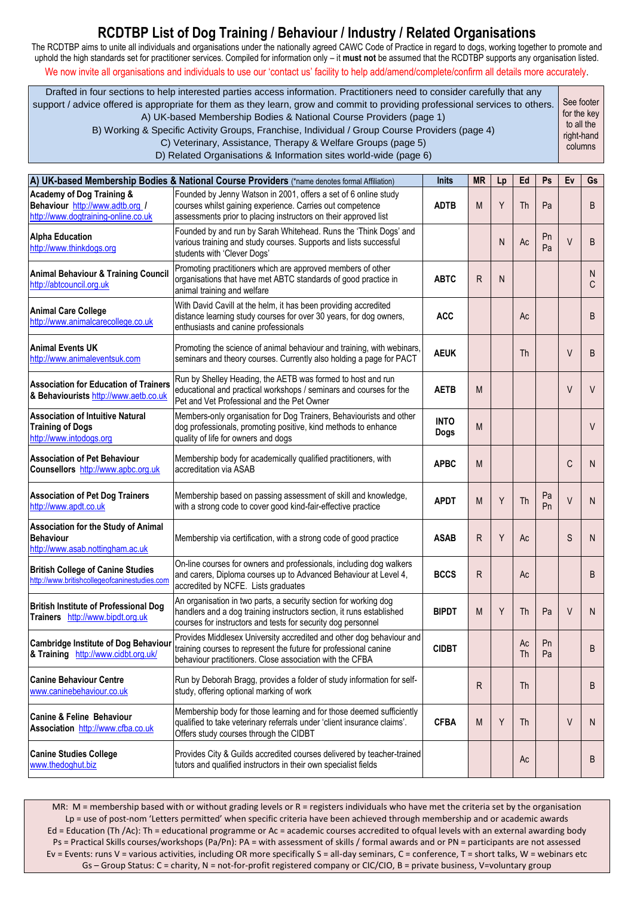The RCDTBP aims to unite all individuals and organisations under the nationally agreed CAWC Code of Practice in regard to dogs, working together to promote and uphold the high standards set for practitioner services. Compiled for information only – it **must not** be assumed that the RCDTBP supports any organisation listed. We now invite all organisations and individuals to use our 'contact us' facility to help add/amend/complete/confirm all details more accurately.

Drafted in four sections to help interested parties access information. Practitioners need to consider carefully that any support / advice offered is appropriate for them as they learn, grow and commit to providing professional services to others. A) UK-based Membership Bodies & National Course Providers (page 1) B) Working & Specific Activity Groups, Franchise, Individual / Group Course Providers (page 4) C) Veterinary, Assistance, Therapy & Welfare Groups (page 5) D) Related Organisations & Information sites world-wide (page 6) See footer for the key to all the right-hand columns

|                                                                                                                | A) UK-based Membership Bodies & National Course Providers (*name denotes formal Affiliation)                                                                                                             | <b>Inits</b>               | <b>MR</b> | Lp | Ed       | Ps       | Ev     | Gs      |
|----------------------------------------------------------------------------------------------------------------|----------------------------------------------------------------------------------------------------------------------------------------------------------------------------------------------------------|----------------------------|-----------|----|----------|----------|--------|---------|
| <b>Academy of Dog Training &amp;</b><br>Behaviour http://www.adtb.org /<br>http://www.dogtraining-online.co.uk | Founded by Jenny Watson in 2001, offers a set of 6 online study<br>courses whilst gaining experience. Carries out competence<br>assessments prior to placing instructors on their approved list          | <b>ADTB</b>                | M         | Y  | Th       | Pa       |        | B       |
| <b>Alpha Education</b><br>http://www.thinkdogs.org                                                             | Founded by and run by Sarah Whitehead. Runs the 'Think Dogs' and<br>various training and study courses. Supports and lists successful<br>students with 'Clever Dogs'                                     |                            |           | N  | Ac       | Pn<br>Pa | $\vee$ | B       |
| <b>Animal Behaviour &amp; Training Council</b><br>http://abtcouncil.org.uk                                     | Promoting practitioners which are approved members of other<br>organisations that have met ABTC standards of good practice in<br>animal training and welfare                                             | <b>ABTC</b>                | R         | N  |          |          |        | N.<br>C |
| <b>Animal Care College</b><br>http://www.animalcarecollege.co.uk                                               | With David Cavill at the helm, it has been providing accredited<br>distance learning study courses for over 30 years, for dog owners,<br>enthusiasts and canine professionals                            | <b>ACC</b>                 |           |    | Ac       |          |        | B       |
| <b>Animal Events UK</b><br>http://www.animaleventsuk.com                                                       | Promoting the science of animal behaviour and training, with webinars<br>seminars and theory courses. Currently also holding a page for PACT                                                             | <b>AEUK</b>                |           |    | Th       |          | V      | B       |
| <b>Association for Education of Trainers</b><br>& Behaviourists http://www.aetb.co.uk                          | Run by Shelley Heading, the AETB was formed to host and run<br>educational and practical workshops / seminars and courses for the<br>Pet and Vet Professional and the Pet Owner                          | <b>AETB</b>                | M         |    |          |          | V      | V       |
| <b>Association of Intuitive Natural</b><br><b>Training of Dogs</b><br>http://www.intodogs.org                  | Members-only organisation for Dog Trainers, Behaviourists and other<br>dog professionals, promoting positive, kind methods to enhance<br>quality of life for owners and dogs                             | <b>INTO</b><br><b>Dogs</b> | M         |    |          |          |        | V       |
| <b>Association of Pet Behaviour</b><br>Counsellors http://www.apbc.org.uk                                      | Membership body for academically qualified practitioners, with<br>accreditation via ASAB                                                                                                                 | <b>APBC</b>                | M         |    |          |          | C      | N       |
| <b>Association of Pet Dog Trainers</b><br>http://www.apdt.co.uk                                                | Membership based on passing assessment of skill and knowledge,<br>with a strong code to cover good kind-fair-effective practice                                                                          | <b>APDT</b>                | M         | Y  | Th       | Pa<br>Pn | $\vee$ | N       |
| Association for the Study of Animal<br><b>Behaviour</b><br>http://www.asab.nottingham.ac.uk                    | Membership via certification, with a strong code of good practice                                                                                                                                        | <b>ASAB</b>                | R         | Y  | Ac       |          | S      | N       |
| <b>British College of Canine Studies</b><br>http://www.britishcollegeofcaninestudies.com                       | On-line courses for owners and professionals, including dog walkers<br>and carers, Diploma courses up to Advanced Behaviour at Level 4,<br>accredited by NCFE. Lists graduates                           | <b>BCCS</b>                | R         |    | Ac       |          |        | B       |
| <b>British Institute of Professional Dog</b><br>Trainers http://www.bipdt.org.uk                               | An organisation in two parts, a security section for working dog<br>handlers and a dog training instructors section, it runs established<br>courses for instructors and tests for security dog personnel | <b>BIPDT</b>               | M         | Y  | Th       | Pa       | V      | N       |
| <b>Cambridge Institute of Dog Behaviour</b><br>& Training http://www.cidbt.org.uk/                             | Provides Middlesex University accredited and other dog behaviour and<br>training courses to represent the future for professional canine<br>behaviour practitioners. Close association with the CFBA     | <b>CIDBT</b>               |           |    | Ac<br>Th | Pn<br>Pa |        | B       |
| <b>Canine Behaviour Centre</b><br>www.caninebehaviour.co.uk                                                    | Run by Deborah Bragg, provides a folder of study information for self-<br>study, offering optional marking of work                                                                                       |                            | R         |    | Th       |          |        | B       |
| <b>Canine &amp; Feline Behaviour</b><br>Association http://www.cfba.co.uk                                      | Membership body for those learning and for those deemed sufficiently<br>qualified to take veterinary referrals under 'client insurance claims'.<br>Offers study courses through the CIDBT                | <b>CFBA</b>                | M         | Y  | Th       |          | $\vee$ | N.      |
| <b>Canine Studies College</b><br>www.thedoghut.biz                                                             | Provides City & Guilds accredited courses delivered by teacher-trained<br>tutors and qualified instructors in their own specialist fields                                                                |                            |           |    | Ac       |          |        | B       |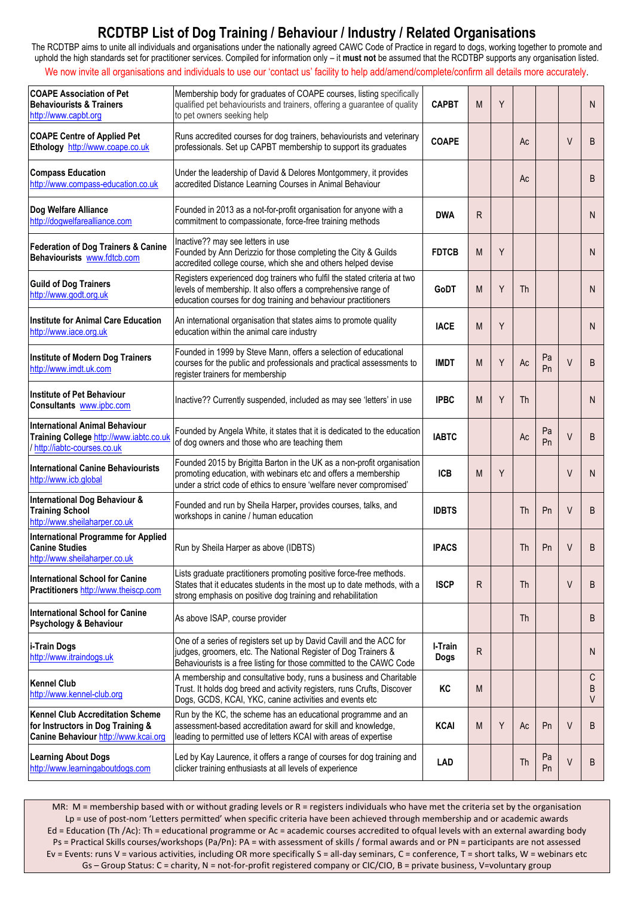The RCDTBP aims to unite all individuals and organisations under the nationally agreed CAWC Code of Practice in regard to dogs, working together to promote and uphold the high standards set for practitioner services. Compiled for information only – it **must not** be assumed that the RCDTBP supports any organisation listed. We now invite all organisations and individuals to use our 'contact us' facility to help add/amend/complete/confirm all details more accurately.

| <b>COAPE Association of Pet</b><br><b>Behaviourists &amp; Trainers</b><br>http://www.capbt.org                       | Membership body for graduates of COAPE courses, listing specifically<br>qualified pet behaviourists and trainers, offering a guarantee of quality<br>to pet owners seeking help                                 | <b>CAPBT</b>           | M | Y |           |          |        | N                |
|----------------------------------------------------------------------------------------------------------------------|-----------------------------------------------------------------------------------------------------------------------------------------------------------------------------------------------------------------|------------------------|---|---|-----------|----------|--------|------------------|
| <b>COAPE Centre of Applied Pet</b><br>Ethology http://www.coape.co.uk                                                | Runs accredited courses for dog trainers, behaviourists and veterinary<br>professionals. Set up CAPBT membership to support its graduates                                                                       | <b>COAPE</b>           |   |   | Ac        |          | V      | B                |
| <b>Compass Education</b><br>http://www.compass-education.co.uk                                                       | Under the leadership of David & Delores Montgommery, it provides<br>accredited Distance Learning Courses in Animal Behaviour                                                                                    |                        |   |   | Ac        |          |        | B                |
| Dog Welfare Alliance<br>http://dogwelfarealliance.com                                                                | Founded in 2013 as a not-for-profit organisation for anyone with a<br>commitment to compassionate, force-free training methods                                                                                  | <b>DWA</b>             | R |   |           |          |        | N <sub>1</sub>   |
| <b>Federation of Dog Trainers &amp; Canine</b><br>Behaviourists www.fdtcb.com                                        | Inactive?? may see letters in use<br>Founded by Ann Derizzio for those completing the City & Guilds<br>accredited college course, which she and others helped devise                                            | <b>FDTCB</b>           | M | Y |           |          |        | N                |
| <b>Guild of Dog Trainers</b><br>http://www.godt.org.uk                                                               | Registers experienced dog trainers who fulfil the stated criteria at two<br>levels of membership. It also offers a comprehensive range of<br>education courses for dog training and behaviour practitioners     | GoDT                   | M | Y | Th        |          |        | N                |
| <b>Institute for Animal Care Education</b><br>http://www.iace.org.uk                                                 | An international organisation that states aims to promote quality<br>education within the animal care industry                                                                                                  | <b>IACE</b>            | M | Y |           |          |        | N                |
| <b>Institute of Modern Dog Trainers</b><br>http://www.imdt.uk.com                                                    | Founded in 1999 by Steve Mann, offers a selection of educational<br>courses for the public and professionals and practical assessments to<br>register trainers for membership                                   | <b>IMDT</b>            | M | Y | Ac        | Pa<br>Pn | $\vee$ | B                |
| <b>Institute of Pet Behaviour</b><br>Consultants www.ipbc.com                                                        | Inactive?? Currently suspended, included as may see 'letters' in use                                                                                                                                            | <b>IPBC</b>            | M | Y | Th        |          |        | N                |
| <b>International Animal Behaviour</b><br>Training College http://www.iabtc.co.uk<br>/ http://iabtc-courses.co.uk     | Founded by Angela White, it states that it is dedicated to the education<br>of dog owners and those who are teaching them                                                                                       | <b>IABTC</b>           |   |   | Ac        | Pa<br>Pn | $\vee$ | B                |
| <b>International Canine Behaviourists</b><br>http://www.icb.global                                                   | Founded 2015 by Brigitta Barton in the UK as a non-profit organisation<br>promoting education, with webinars etc and offers a membership<br>under a strict code of ethics to ensure 'welfare never compromised' | <b>ICB</b>             | M | Y |           |          | V      | N                |
| <b>International Dog Behaviour &amp;</b><br><b>Training School</b><br>http://www.sheilaharper.co.uk                  | Founded and run by Sheila Harper, provides courses, talks, and<br>workshops in canine / human education                                                                                                         | <b>IDBTS</b>           |   |   | Th        | Pn       | $\vee$ | B                |
| <b>International Programme for Applied</b><br><b>Canine Studies</b><br>http://www.sheilaharper.co.uk                 | Run by Sheila Harper as above (IDBTS)                                                                                                                                                                           | <b>IPACS</b>           |   |   | Th        | Pn       | V      | B                |
| International School for Canine<br>Practitioners http://www.theiscp.com                                              | Lists graduate practitioners promoting positive force-free methods.<br>States that it educates students in the most up to date methods, with a<br>strong emphasis on positive dog training and rehabilitation   | <b>ISCP</b>            | R |   | <b>Th</b> |          | V      | B                |
| <b>International School for Canine</b><br>Psychology & Behaviour                                                     | As above ISAP, course provider                                                                                                                                                                                  |                        |   |   | Th        |          |        | B                |
| i-Train Dogs<br>http://www.itraindogs.uk                                                                             | One of a series of registers set up by David Cavill and the ACC for<br>judges, groomers, etc. The National Register of Dog Trainers &<br>Behaviourists is a free listing for those committed to the CAWC Code   | I-Train<br><b>Dogs</b> | R |   |           |          |        | N                |
| <b>Kennel Club</b><br>http://www.kennel-club.org                                                                     | A membership and consultative body, runs a business and Charitable<br>Trust. It holds dog breed and activity registers, runs Crufts, Discover<br>Dogs, GCDS, KCAI, YKC, canine activities and events etc        | KC                     | M |   |           |          |        | C<br>B<br>$\vee$ |
| <b>Kennel Club Accreditation Scheme</b><br>for Instructors in Dog Training &<br>Canine Behaviour http://www.kcai.org | Run by the KC, the scheme has an educational programme and an<br>assessment-based accreditation award for skill and knowledge,<br>leading to permitted use of letters KCAI with areas of expertise              | <b>KCAI</b>            | M | Y | Ac        | Pn       | V      | B                |
| <b>Learning About Dogs</b><br>http://www.learningaboutdogs.com                                                       | Led by Kay Laurence, it offers a range of courses for dog training and<br>clicker training enthusiasts at all levels of experience                                                                              | LAD                    |   |   | Th        | Pa<br>Pn | V      | B                |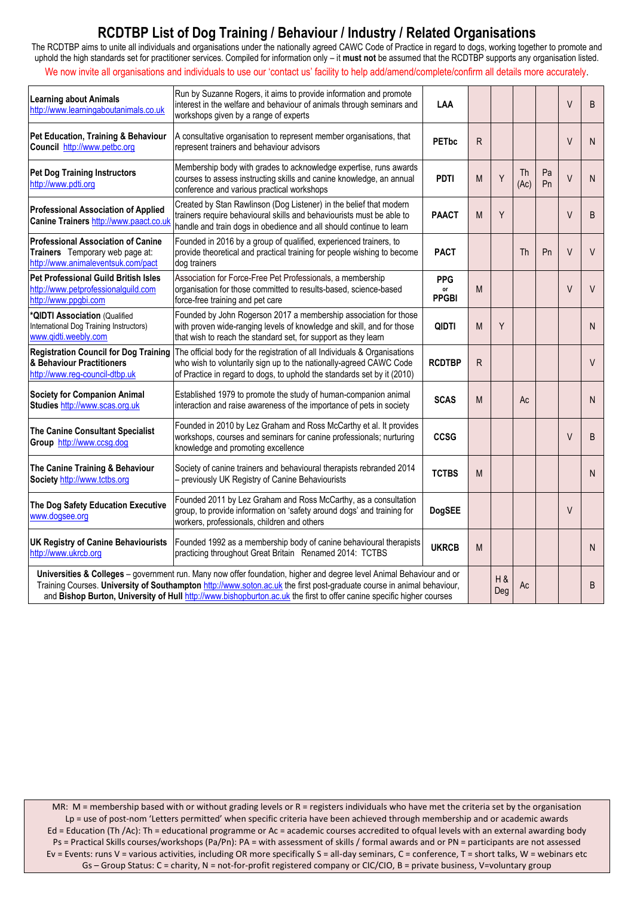The RCDTBP aims to unite all individuals and organisations under the nationally agreed CAWC Code of Practice in regard to dogs, working together to promote and uphold the high standards set for practitioner services. Compiled for information only – it **must not** be assumed that the RCDTBP supports any organisation listed. We now invite all organisations and individuals to use our 'contact us' facility to help add/amend/complete/confirm all details more accurately.

| <b>Learning about Animals</b><br>http://www.learningaboutanimals.co.uk                                                                                                                                                                                                                                                                                                  | Run by Suzanne Rogers, it aims to provide information and promote<br>interest in the welfare and behaviour of animals through seminars and<br>workshops given by a range of experts                                        | LAA                              |              |            |            |          | V      | B      |
|-------------------------------------------------------------------------------------------------------------------------------------------------------------------------------------------------------------------------------------------------------------------------------------------------------------------------------------------------------------------------|----------------------------------------------------------------------------------------------------------------------------------------------------------------------------------------------------------------------------|----------------------------------|--------------|------------|------------|----------|--------|--------|
| Pet Education, Training & Behaviour<br>Council http://www.petbc.org                                                                                                                                                                                                                                                                                                     | A consultative organisation to represent member organisations, that<br>represent trainers and behaviour advisors                                                                                                           | <b>PET<sub>bc</sub></b>          | $\mathsf{R}$ |            |            |          | $\vee$ | N      |
| <b>Pet Dog Training Instructors</b><br>http://www.pdti.org                                                                                                                                                                                                                                                                                                              | Membership body with grades to acknowledge expertise, runs awards<br>courses to assess instructing skills and canine knowledge, an annual<br>conference and various practical workshops                                    | <b>PDTI</b>                      | M            | Y          | Th<br>(Ac) | Pa<br>Pn | $\vee$ | N      |
| <b>Professional Association of Applied</b><br>Canine Trainers http://www.paact.co.uk                                                                                                                                                                                                                                                                                    | Created by Stan Rawlinson (Dog Listener) in the belief that modern<br>trainers require behavioural skills and behaviourists must be able to<br>handle and train dogs in obedience and all should continue to learn         | <b>PAACT</b>                     | M            | Y          |            |          | V      | B      |
| <b>Professional Association of Canine</b><br>Trainers Temporary web page at:<br>http://www.animaleventsuk.com/pact                                                                                                                                                                                                                                                      | Founded in 2016 by a group of qualified, experienced trainers, to<br>provide theoretical and practical training for people wishing to become<br>dog trainers                                                               | <b>PACT</b>                      |              |            | Th         | Pn       | V      | $\vee$ |
| <b>Pet Professional Guild British Isles</b><br>http://www.petprofessionalguild.com<br>http://www.ppgbi.com                                                                                                                                                                                                                                                              | Association for Force-Free Pet Professionals, a membership<br>organisation for those committed to results-based, science-based<br>force-free training and pet care                                                         | <b>PPG</b><br>or<br><b>PPGBI</b> | M            |            |            |          | V      | $\vee$ |
| *QIDTI Association (Qualified<br>International Dog Training Instructors)<br>www.qidti.weebly.com                                                                                                                                                                                                                                                                        | Founded by John Rogerson 2017 a membership association for those<br>with proven wide-ranging levels of knowledge and skill, and for those<br>that wish to reach the standard set, for support as they learn                | QIDTI                            | M            | Υ          |            |          |        | N.     |
| <b>Registration Council for Dog Training</b><br>& Behaviour Practitioners<br>http://www.reg-council-dtbp.uk                                                                                                                                                                                                                                                             | The official body for the registration of all Individuals & Organisations<br>who wish to voluntarily sign up to the nationally-agreed CAWC Code<br>of Practice in regard to dogs, to uphold the standards set by it (2010) | <b>RCDTBP</b>                    | R            |            |            |          |        | $\vee$ |
| <b>Society for Companion Animal</b><br>Studies http://www.scas.org.uk                                                                                                                                                                                                                                                                                                   | Established 1979 to promote the study of human-companion animal<br>interaction and raise awareness of the importance of pets in society                                                                                    | <b>SCAS</b>                      | M            |            | Ac         |          |        | N.     |
| The Canine Consultant Specialist<br>Group http://www.ccsg.dog                                                                                                                                                                                                                                                                                                           | Founded in 2010 by Lez Graham and Ross McCarthy et al. It provides<br>workshops, courses and seminars for canine professionals; nurturing<br>knowledge and promoting excellence                                            | <b>CCSG</b>                      |              |            |            |          | $\vee$ | B      |
| The Canine Training & Behaviour<br>Society http://www.tctbs.org                                                                                                                                                                                                                                                                                                         | Society of canine trainers and behavioural therapists rebranded 2014<br>- previously UK Registry of Canine Behaviourists                                                                                                   | <b>TCTBS</b>                     | M            |            |            |          |        | N      |
| The Dog Safety Education Executive<br>www.dogsee.org                                                                                                                                                                                                                                                                                                                    | Founded 2011 by Lez Graham and Ross McCarthy, as a consultation<br>group, to provide information on 'safety around dogs' and training for<br>workers, professionals, children and others                                   | <b>DogSEE</b>                    |              |            |            |          | V      |        |
| <b>UK Registry of Canine Behaviourists</b><br>http://www.ukrcb.org                                                                                                                                                                                                                                                                                                      | Founded 1992 as a membership body of canine behavioural therapists<br>practicing throughout Great Britain Renamed 2014: TCTBS                                                                                              | <b>UKRCB</b>                     | M            |            |            |          |        | N.     |
| Universities & Colleges - government run. Many now offer foundation, higher and degree level Animal Behaviour and or<br>Training Courses. University of Southampton http://www.soton.ac.uk the first post-graduate course in animal behaviour,<br>and Bishop Burton, University of Hull http://www.bishopburton.ac.uk the first to offer canine specific higher courses |                                                                                                                                                                                                                            |                                  |              | H &<br>Deg | Ac         |          |        | B      |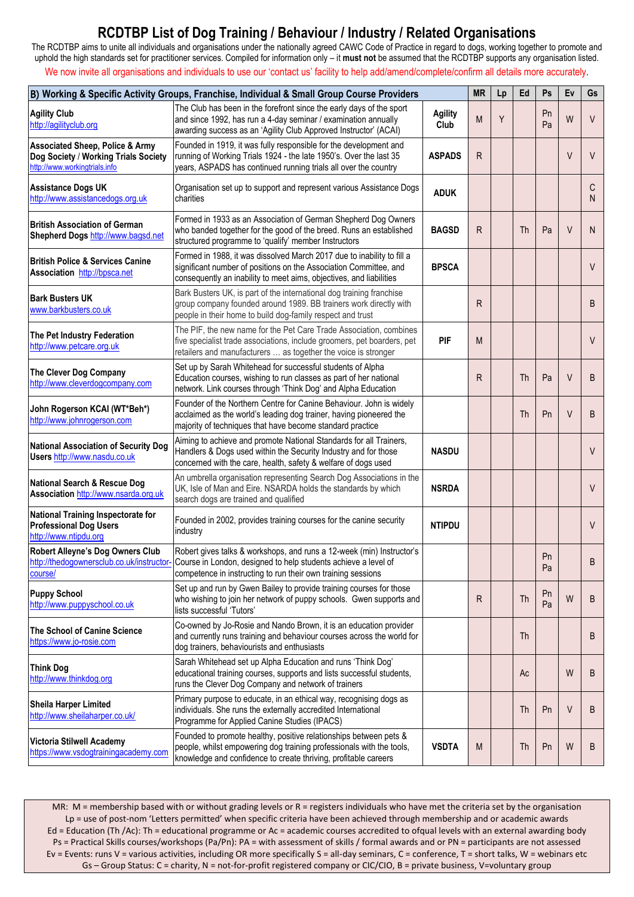The RCDTBP aims to unite all individuals and organisations under the nationally agreed CAWC Code of Practice in regard to dogs, working together to promote and uphold the high standards set for practitioner services. Compiled for information only – it **must not** be assumed that the RCDTBP supports any organisation listed.

We now invite all organisations and individuals to use our 'contact us' facility to help add/amend/complete/confirm all details more accurately.

|                                                                                                                     | B) Working & Specific Activity Groups, Franchise, Individual & Small Group Course Providers                                                                                                                                                       |                        | <b>MR</b> | Lp | Ed | Ps       | Ev     | Gs     |
|---------------------------------------------------------------------------------------------------------------------|---------------------------------------------------------------------------------------------------------------------------------------------------------------------------------------------------------------------------------------------------|------------------------|-----------|----|----|----------|--------|--------|
| <b>Agility Club</b><br>http://agilityclub.org                                                                       | The Club has been in the forefront since the early days of the sport<br>and since 1992, has run a 4-day seminar / examination annually<br>awarding success as an 'Agility Club Approved Instructor' (ACAI)                                        | <b>Agility</b><br>Club | M         | Y  |    | Pn<br>Pa | W      | V      |
| <b>Associated Sheep, Police &amp; Army</b><br>Dog Society / Working Trials Society<br>http://www.workingtrials.info | Founded in 1919, it was fully responsible for the development and<br>running of Working Trials 1924 - the late 1950's. Over the last 35<br>years, ASPADS has continued running trials all over the country                                        | <b>ASPADS</b>          | R         |    |    |          | $\vee$ | V      |
| <b>Assistance Dogs UK</b><br>http://www.assistancedogs.org.uk                                                       | Organisation set up to support and represent various Assistance Dogs<br>charities                                                                                                                                                                 | <b>ADUK</b>            |           |    |    |          |        | C<br>N |
| <b>British Association of German</b><br>Shepherd Dogs http://www.bagsd.net                                          | Formed in 1933 as an Association of German Shepherd Dog Owners<br>who banded together for the good of the breed. Runs an established<br>structured programme to 'qualify' member Instructors                                                      | <b>BAGSD</b>           | R         |    | Th | Pa       | $\vee$ | N      |
| <b>British Police &amp; Services Canine</b><br>Association http://bpsca.net                                         | Formed in 1988, it was dissolved March 2017 due to inability to fill a<br>significant number of positions on the Association Committee, and<br>consequently an inability to meet aims, objectives, and liabilities                                | <b>BPSCA</b>           |           |    |    |          |        | V      |
| <b>Bark Busters UK</b><br>www.barkbusters.co.uk                                                                     | Bark Busters UK, is part of the international dog training franchise<br>group company founded around 1989. BB trainers work directly with<br>people in their home to build dog-family respect and trust                                           |                        | R         |    |    |          |        | B      |
| The Pet Industry Federation<br>http://www.petcare.org.uk                                                            | The PIF, the new name for the Pet Care Trade Association, combines<br>five specialist trade associations, include groomers, pet boarders, pet<br>retailers and manufacturers  as together the voice is stronger                                   | <b>PIF</b>             | M         |    |    |          |        | $\vee$ |
| The Clever Dog Company<br>http://www.cleverdogcompany.com                                                           | Set up by Sarah Whitehead for successful students of Alpha<br>Education courses, wishing to run classes as part of her national<br>network. Link courses through 'Think Dog' and Alpha Education                                                  |                        | R         |    | Th | Pa       | $\vee$ | B      |
| John Rogerson KCAI (WT*Beh*)<br>http://www.johnrogerson.com                                                         | Founder of the Northern Centre for Canine Behaviour. John is widely<br>acclaimed as the world's leading dog trainer, having pioneered the<br>majority of techniques that have become standard practice                                            |                        |           |    | Th | Pn       | $\vee$ | B      |
| <b>National Association of Security Dog</b><br>Users http://www.nasdu.co.uk                                         | Aiming to achieve and promote National Standards for all Trainers,<br>Handlers & Dogs used within the Security Industry and for those<br>concerned with the care, health, safety & welfare of dogs used                                           | <b>NASDU</b>           |           |    |    |          |        | V      |
| <b>National Search &amp; Rescue Dog</b><br>Association http://www.nsarda.org.uk                                     | An umbrella organisation representing Search Dog Associations in the<br>UK, Isle of Man and Eire. NSARDA holds the standards by which<br>search dogs are trained and qualified                                                                    | <b>NSRDA</b>           |           |    |    |          |        | V      |
| <b>National Training Inspectorate for</b><br><b>Professional Dog Users</b><br>http://www.ntipdu.org                 | Founded in 2002, provides training courses for the canine security<br>industry                                                                                                                                                                    | <b>NTIPDU</b>          |           |    |    |          |        | V      |
| Robert Alleyne's Dog Owners Club<br>course/                                                                         | Robert gives talks & workshops, and runs a 12-week (min) Instructor's<br>http://thedogownersclub.co.uk/instructor- Course in London, designed to help students achieve a level of<br>competence in instructing to run their own training sessions |                        |           |    |    | Pn<br>Pa |        | B      |
| <b>Puppy School</b><br>http://www.puppyschool.co.uk                                                                 | Set up and run by Gwen Bailey to provide training courses for those<br>who wishing to join her network of puppy schools. Gwen supports and<br>lists successful 'Tutors'                                                                           |                        | R         |    | Th | Pn<br>Pa | W      | B      |
| <b>The School of Canine Science</b><br>https://www.jo-rosie.com                                                     | Co-owned by Jo-Rosie and Nando Brown, it is an education provider<br>and currently runs training and behaviour courses across the world for<br>dog trainers, behaviourists and enthusiasts                                                        |                        |           |    | Th |          |        | B      |
| <b>Think Dog</b><br>http://www.thinkdog.org                                                                         | Sarah Whitehead set up Alpha Education and runs 'Think Dog'<br>educational training courses, supports and lists successful students,<br>runs the Clever Dog Company and network of trainers                                                       |                        |           |    | Ac |          | W      | B      |
| <b>Sheila Harper Limited</b><br>http://www.sheilaharper.co.uk/                                                      | Primary purpose to educate, in an ethical way, recognising dogs as<br>individuals. She runs the externally accredited International<br>Programme for Applied Canine Studies (IPACS)                                                               |                        |           |    | Th | Pn       | $\vee$ | B      |
| Victoria Stilwell Academy<br>https://www.vsdogtrainingacademy.com                                                   | Founded to promote healthy, positive relationships between pets &<br>people, whilst empowering dog training professionals with the tools,<br>knowledge and confidence to create thriving, profitable careers                                      | <b>VSDTA</b>           | M         |    | Th | Pn       | W      | B      |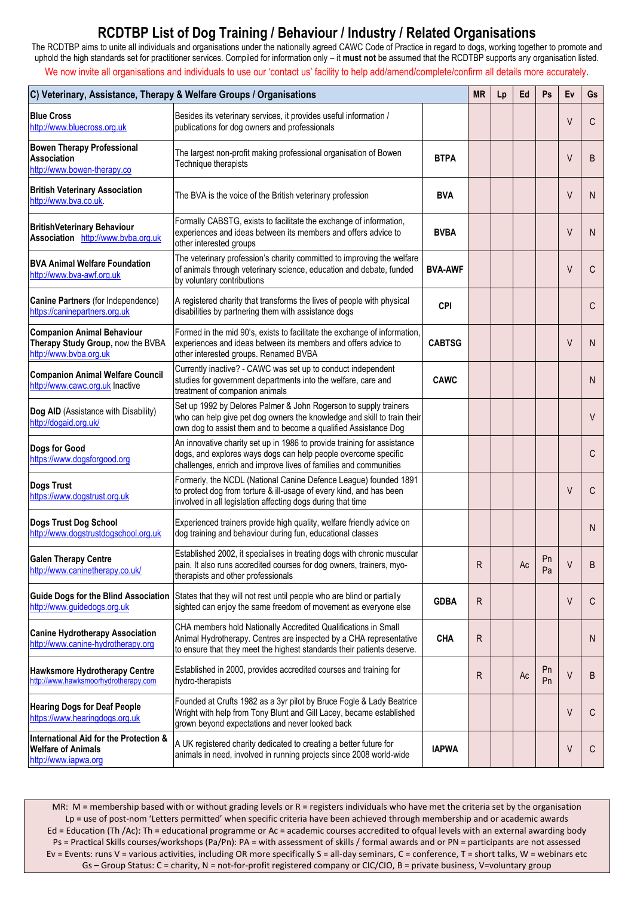The RCDTBP aims to unite all individuals and organisations under the nationally agreed CAWC Code of Practice in regard to dogs, working together to promote and uphold the high standards set for practitioner services. Compiled for information only – it **must not** be assumed that the RCDTBP supports any organisation listed.

We now invite all organisations and individuals to use our 'contact us' facility to help add/amend/complete/confirm all details more accurately.

|                                                                                                  | C) Veterinary, Assistance, Therapy & Welfare Groups / Organisations                                                                                                                                            |                | <b>MR</b>    | Lp | Ed            | Ps       | Ev           | Gs |
|--------------------------------------------------------------------------------------------------|----------------------------------------------------------------------------------------------------------------------------------------------------------------------------------------------------------------|----------------|--------------|----|---------------|----------|--------------|----|
| <b>Blue Cross</b><br>http://www.bluecross.org.uk                                                 | Besides its veterinary services, it provides useful information /<br>publications for dog owners and professionals                                                                                             |                |              |    |               |          | V            | C  |
| <b>Bowen Therapy Professional</b><br><b>Association</b><br>http://www.bowen-therapy.co           | The largest non-profit making professional organisation of Bowen<br>Technique therapists                                                                                                                       | <b>BTPA</b>    |              |    |               |          | $\vee$       | B  |
| <b>British Veterinary Association</b><br>http://www.bva.co.uk.                                   | The BVA is the voice of the British veterinary profession                                                                                                                                                      | <b>BVA</b>     |              |    |               |          | $\vee$       | N  |
| <b>BritishVeterinary Behaviour</b><br>Association http://www.bvba.org.uk                         | Formally CABSTG, exists to facilitate the exchange of information,<br>experiences and ideas between its members and offers advice to<br>other interested groups                                                | <b>BVBA</b>    |              |    |               |          | V            | N  |
| <b>BVA Animal Welfare Foundation</b><br>http://www.bva-awf.org.uk                                | The veterinary profession's charity committed to improving the welfare<br>of animals through veterinary science, education and debate, funded<br>by voluntary contributions                                    | <b>BVA-AWF</b> |              |    |               |          | V            | С  |
| Canine Partners (for Independence)<br>https://caninepartners.org.uk                              | A registered charity that transforms the lives of people with physical<br>disabilities by partnering them with assistance dogs                                                                                 | <b>CPI</b>     |              |    |               |          |              | C  |
| <b>Companion Animal Behaviour</b><br>Therapy Study Group, now the BVBA<br>http://www.bvba.org.uk | Formed in the mid 90's, exists to facilitate the exchange of information,<br>experiences and ideas between its members and offers advice to<br>other interested groups. Renamed BVBA                           | <b>CABTSG</b>  |              |    |               |          | V            | N  |
| <b>Companion Animal Welfare Council</b><br>http://www.cawc.org.uk Inactive                       | Currently inactive? - CAWC was set up to conduct independent<br>studies for government departments into the welfare, care and<br>treatment of companion animals                                                | <b>CAWC</b>    |              |    |               |          |              | N  |
| Dog AID (Assistance with Disability)<br>http://dogaid.org.uk/                                    | Set up 1992 by Delores Palmer & John Rogerson to supply trainers<br>who can help give pet dog owners the knowledge and skill to train their<br>own dog to assist them and to become a qualified Assistance Dog |                |              |    |               |          |              | V  |
| Dogs for Good<br>https://www.dogsforgood.org                                                     | An innovative charity set up in 1986 to provide training for assistance<br>dogs, and explores ways dogs can help people overcome specific<br>challenges, enrich and improve lives of families and communities  |                |              |    |               |          |              | C  |
| Dogs Trust<br>https://www.dogstrust.org.uk                                                       | Formerly, the NCDL (National Canine Defence League) founded 1891<br>to protect dog from torture & ill-usage of every kind, and has been<br>involved in all legislation affecting dogs during that time         |                |              |    |               |          | $\vee$       | C  |
| Dogs Trust Dog School<br>http://www.dogstrustdogschool.org.uk                                    | Experienced trainers provide high quality, welfare friendly advice on<br>dog training and behaviour during fun, educational classes                                                                            |                |              |    |               |          |              | N  |
| <b>Galen Therapy Centre</b><br>http://www.caninetherapy.co.uk/                                   | Established 2002, it specialises in treating dogs with chronic muscular<br>pain. It also runs accredited courses for dog owners, trainers, myo-<br>therapists and other professionals                          |                | ${\sf R}$    |    | $\mathsf{Ac}$ | Pn<br>Pa | $\mathsf{V}$ | R  |
| <b>Guide Dogs for the Blind Association</b><br>http://www.guidedogs.org.uk                       | States that they will not rest until people who are blind or partially<br>sighted can enjoy the same freedom of movement as everyone else                                                                      | <b>GDBA</b>    | $\mathsf{R}$ |    |               |          | V            | С  |
| <b>Canine Hydrotherapy Association</b><br>http://www.canine-hydrotherapy.org                     | CHA members hold Nationally Accredited Qualifications in Small<br>Animal Hydrotherapy. Centres are inspected by a CHA representative<br>to ensure that they meet the highest standards their patients deserve. | <b>CHA</b>     | R            |    |               |          |              | N  |
| <b>Hawksmore Hydrotherapy Centre</b><br>http://www.hawksmoorhydrotherapy.com                     | Established in 2000, provides accredited courses and training for<br>hydro-therapists                                                                                                                          |                | R            |    | Ac            | Pn<br>Pn | V            | B  |
| <b>Hearing Dogs for Deaf People</b><br>https://www.hearingdogs.org.uk                            | Founded at Crufts 1982 as a 3yr pilot by Bruce Fogle & Lady Beatrice<br>Wright with help from Tony Blunt and Gill Lacey, became established<br>grown beyond expectations and never looked back                 |                |              |    |               |          | $\vee$       | С  |
| International Aid for the Protection &<br><b>Welfare of Animals</b><br>http://www.iapwa.org      | A UK registered charity dedicated to creating a better future for<br>animals in need, involved in running projects since 2008 world-wide                                                                       | <b>IAPWA</b>   |              |    |               |          | V            | C  |